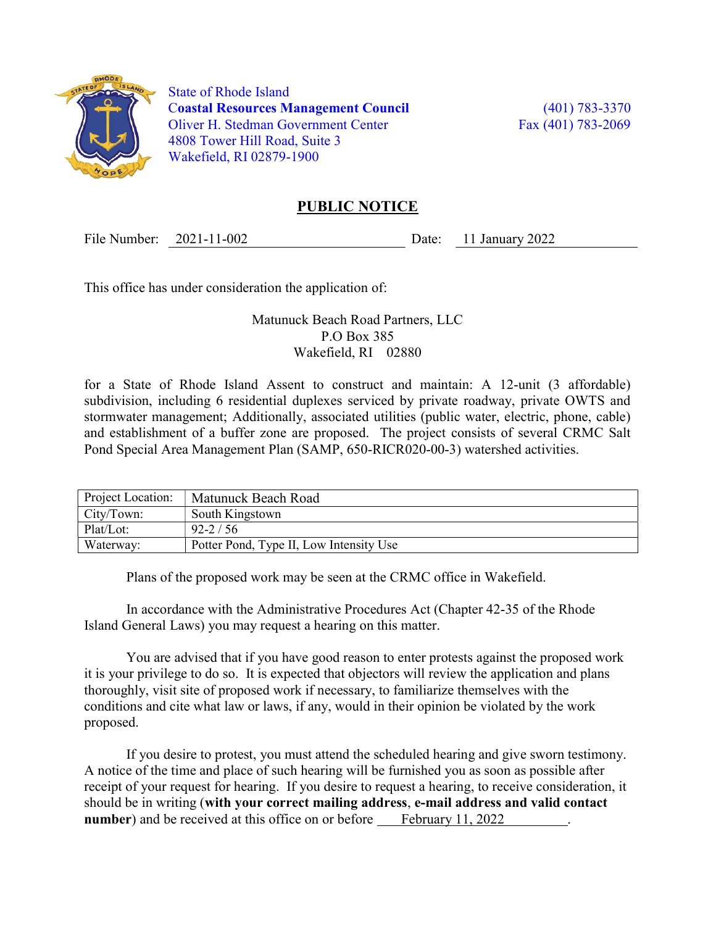

 State of Rhode Island Coastal Resources Management Council (401) 783-3370 Oliver H. Stedman Government Center Fax (401) 783-2069 4808 Tower Hill Road, Suite 3 Wakefield, RI 02879-1900

## PUBLIC NOTICE

File Number: 2021-11-002 Date: 11 January 2022

This office has under consideration the application of:

Matunuck Beach Road Partners, LLC P.O Box 385 Wakefield, RI 02880

for a State of Rhode Island Assent to construct and maintain: A 12-unit (3 affordable) subdivision, including 6 residential duplexes serviced by private roadway, private OWTS and stormwater management; Additionally, associated utilities (public water, electric, phone, cable) and establishment of a buffer zone are proposed. The project consists of several CRMC Salt Pond Special Area Management Plan (SAMP, 650-RICR020-00-3) watershed activities.

| Project Location: | Matunuck Beach Road                     |
|-------------------|-----------------------------------------|
| City/Town:        | South Kingstown                         |
| Plat/Lot:         | $92 - 2 / 56$                           |
| Waterway:         | Potter Pond, Type II, Low Intensity Use |

Plans of the proposed work may be seen at the CRMC office in Wakefield.

In accordance with the Administrative Procedures Act (Chapter 42-35 of the Rhode Island General Laws) you may request a hearing on this matter.

You are advised that if you have good reason to enter protests against the proposed work it is your privilege to do so. It is expected that objectors will review the application and plans thoroughly, visit site of proposed work if necessary, to familiarize themselves with the conditions and cite what law or laws, if any, would in their opinion be violated by the work proposed.

If you desire to protest, you must attend the scheduled hearing and give sworn testimony. A notice of the time and place of such hearing will be furnished you as soon as possible after receipt of your request for hearing. If you desire to request a hearing, to receive consideration, it should be in writing (with your correct mailing address, e-mail address and valid contact number) and be received at this office on or before February 11, 2022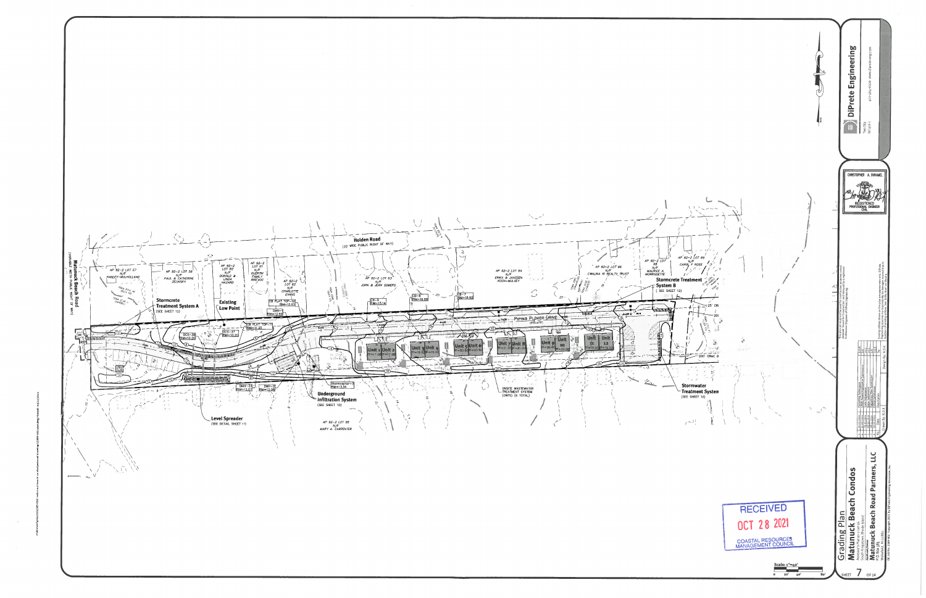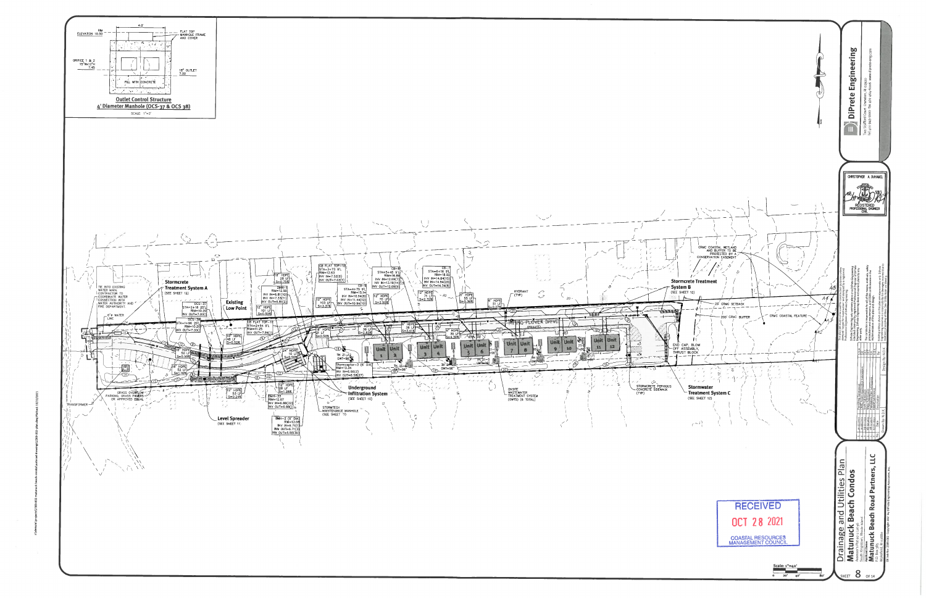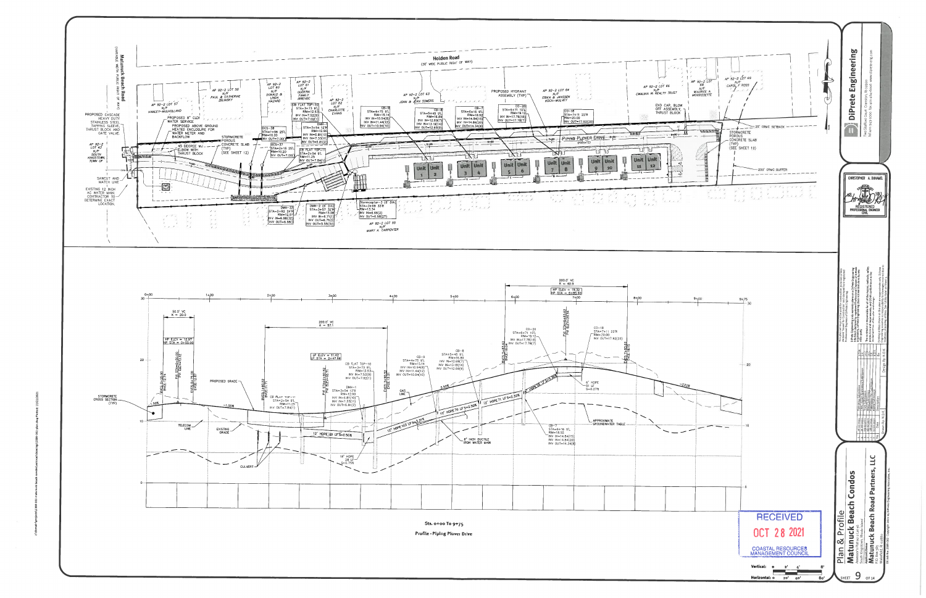